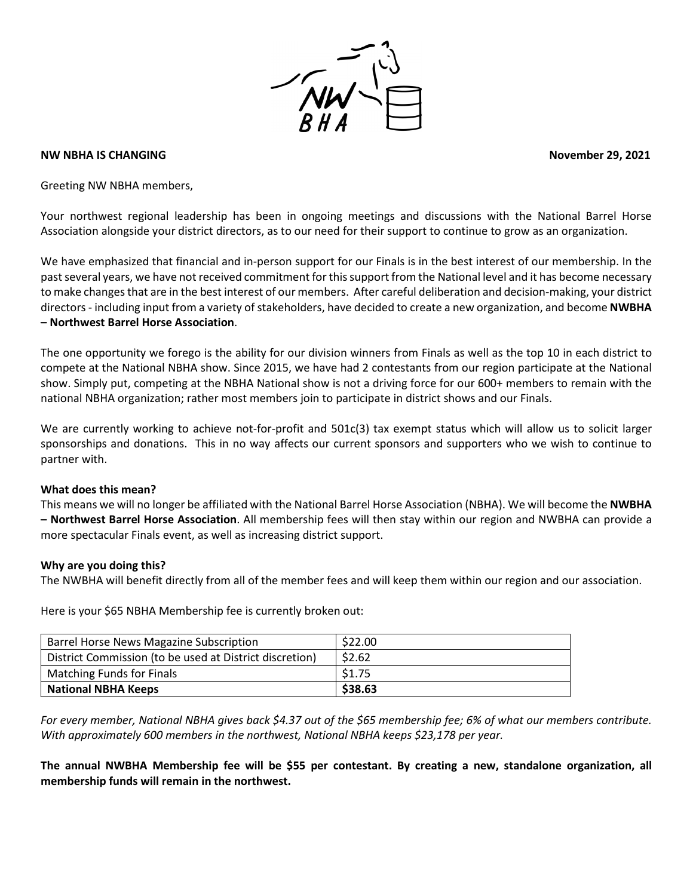

#### **NW NBHA IS CHANGING November 29, 2021**

Greeting NW NBHA members,

Your northwest regional leadership has been in ongoing meetings and discussions with the National Barrel Horse Association alongside your district directors, as to our need for their support to continue to grow as an organization.

We have emphasized that financial and in-person support for our Finals is in the best interest of our membership. In the past several years, we have not received commitment for this support from the National level and it has become necessary to make changes that are in the best interest of our members. After careful deliberation and decision-making, your district directors - including input from a variety of stakeholders, have decided to create a new organization, and become **NWBHA – Northwest Barrel Horse Association**.

The one opportunity we forego is the ability for our division winners from Finals as well as the top 10 in each district to compete at the National NBHA show. Since 2015, we have had 2 contestants from our region participate at the National show. Simply put, competing at the NBHA National show is not a driving force for our 600+ members to remain with the national NBHA organization; rather most members join to participate in district shows and our Finals.

We are currently working to achieve not-for-profit and 501c(3) tax exempt status which will allow us to solicit larger sponsorships and donations. This in no way affects our current sponsors and supporters who we wish to continue to partner with.

#### **What does this mean?**

This means we will no longer be affiliated with the National Barrel Horse Association (NBHA). We will become the **NWBHA – Northwest Barrel Horse Association**. All membership fees will then stay within our region and NWBHA can provide a more spectacular Finals event, as well as increasing district support.

#### **Why are you doing this?**

The NWBHA will benefit directly from all of the member fees and will keep them within our region and our association.

Here is your \$65 NBHA Membership fee is currently broken out:

| Barrel Horse News Magazine Subscription                 | \$22.00 |
|---------------------------------------------------------|---------|
| District Commission (to be used at District discretion) | \$2.62  |
| <b>Matching Funds for Finals</b>                        | \$1.75  |
| <b>National NBHA Keeps</b>                              | \$38.63 |

*For every member, National NBHA gives back \$4.37 out of the \$65 membership fee; 6% of what our members contribute. With approximately 600 members in the northwest, National NBHA keeps \$23,178 per year.*

**The annual NWBHA Membership fee will be \$55 per contestant. By creating a new, standalone organization, all membership funds will remain in the northwest.**